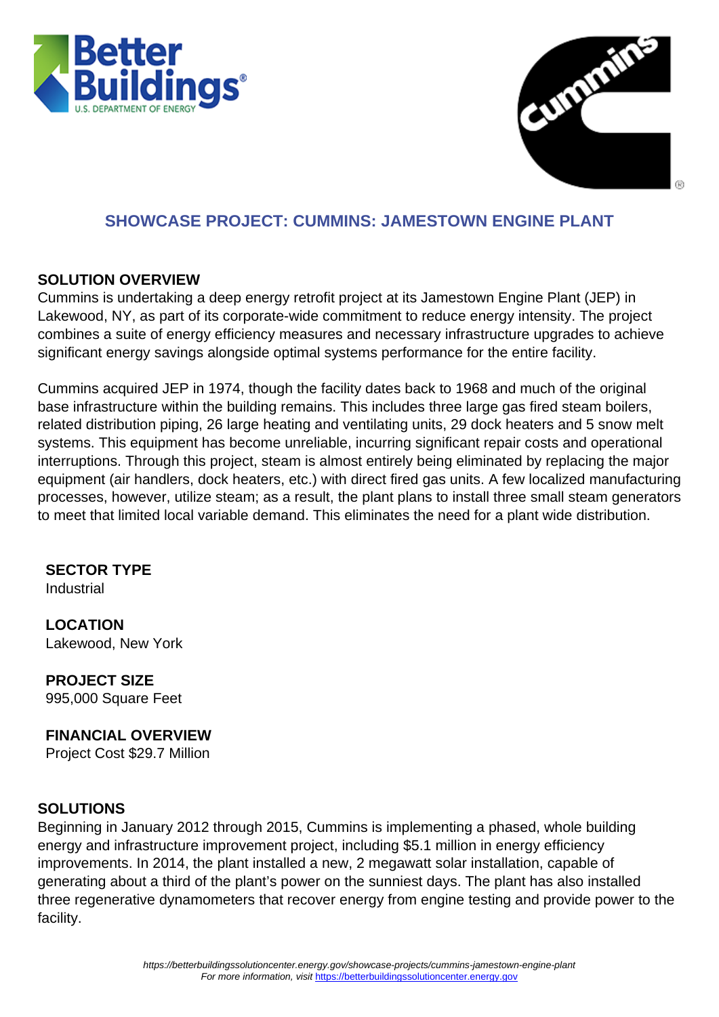



## **SHOWCASE PROJECT: CUMMINS: JAMESTOWN ENGINE PLANT**

#### **SOLUTION OVERVIEW**

Cummins is undertaking a deep energy retrofit project at its Jamestown Engine Plant (JEP) in Lakewood, NY, as part of its corporate-wide commitment to reduce energy intensity. The project combines a suite of energy efficiency measures and necessary infrastructure upgrades to achieve significant energy savings alongside optimal systems performance for the entire facility.

Cummins acquired JEP in 1974, though the facility dates back to 1968 and much of the original base infrastructure within the building remains. This includes three large gas fired steam boilers, related distribution piping, 26 large heating and ventilating units, 29 dock heaters and 5 snow melt systems. This equipment has become unreliable, incurring significant repair costs and operational interruptions. Through this project, steam is almost entirely being eliminated by replacing the major equipment (air handlers, dock heaters, etc.) with direct fired gas units. A few localized manufacturing processes, however, utilize steam; as a result, the plant plans to install three small steam generators to meet that limited local variable demand. This eliminates the need for a plant wide distribution.

# **SECTOR TYPE**

**Industrial** 

**LOCATION** Lakewood, New York

**PROJECT SIZE** 995,000 Square Feet

## **FINANCIAL OVERVIEW**

Project Cost \$29.7 Million

### **SOLUTIONS**

Beginning in January 2012 through 2015, Cummins is implementing a phased, whole building energy and infrastructure improvement project, including \$5.1 million in energy efficiency improvements. In 2014, the plant installed a new, 2 megawatt solar installation, capable of generating about a third of the plant's power on the sunniest days. The plant has also installed three regenerative dynamometers that recover energy from engine testing and provide power to the facility.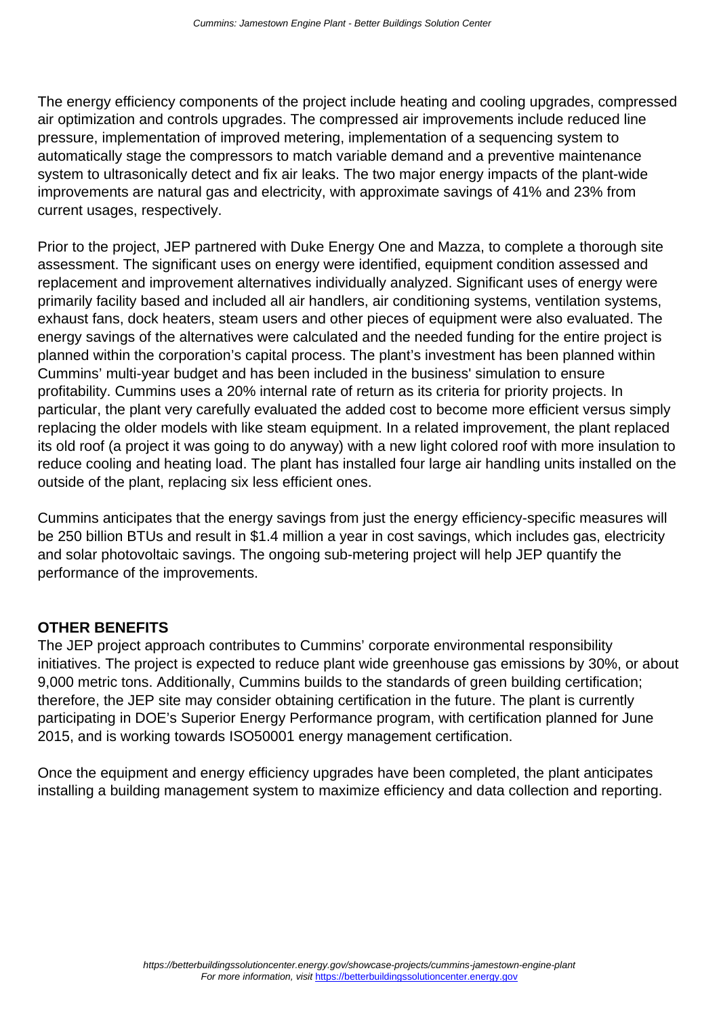The energy efficiency components of the project include heating and cooling upgrades, compressed air optimization and controls upgrades. The compressed air improvements include reduced line pressure, implementation of improved metering, implementation of a sequencing system to automatically stage the compressors to match variable demand and a preventive maintenance system to ultrasonically detect and fix air leaks. The two major energy impacts of the plant-wide improvements are natural gas and electricity, with approximate savings of 41% and 23% from current usages, respectively.

Prior to the project, JEP partnered with Duke Energy One and Mazza, to complete a thorough site assessment. The significant uses on energy were identified, equipment condition assessed and replacement and improvement alternatives individually analyzed. Significant uses of energy were primarily facility based and included all air handlers, air conditioning systems, ventilation systems, exhaust fans, dock heaters, steam users and other pieces of equipment were also evaluated. The energy savings of the alternatives were calculated and the needed funding for the entire project is planned within the corporation's capital process. The plant's investment has been planned within Cummins' multi-year budget and has been included in the business' simulation to ensure profitability. Cummins uses a 20% internal rate of return as its criteria for priority projects. In particular, the plant very carefully evaluated the added cost to become more efficient versus simply replacing the older models with like steam equipment. In a related improvement, the plant replaced its old roof (a project it was going to do anyway) with a new light colored roof with more insulation to reduce cooling and heating load. The plant has installed four large air handling units installed on the outside of the plant, replacing six less efficient ones.

Cummins anticipates that the energy savings from just the energy efficiency-specific measures will be 250 billion BTUs and result in \$1.4 million a year in cost savings, which includes gas, electricity and solar photovoltaic savings. The ongoing sub-metering project will help JEP quantify the performance of the improvements.

### **OTHER BENEFITS**

The JEP project approach contributes to Cummins' corporate environmental responsibility initiatives. The project is expected to reduce plant wide greenhouse gas emissions by 30%, or about 9,000 metric tons. Additionally, Cummins builds to the standards of green building certification; therefore, the JEP site may consider obtaining certification in the future. The plant is currently participating in DOE's Superior Energy Performance program, with certification planned for June 2015, and is working towards ISO50001 energy management certification.

Once the equipment and energy efficiency upgrades have been completed, the plant anticipates installing a building management system to maximize efficiency and data collection and reporting.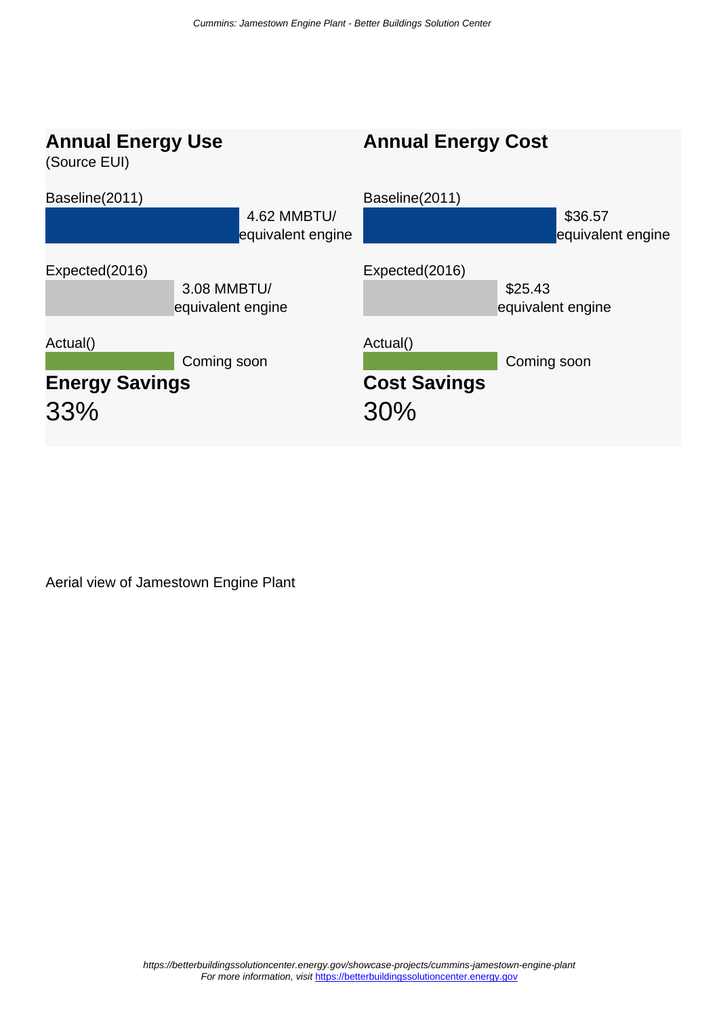

Aerial view of Jamestown Engine Plant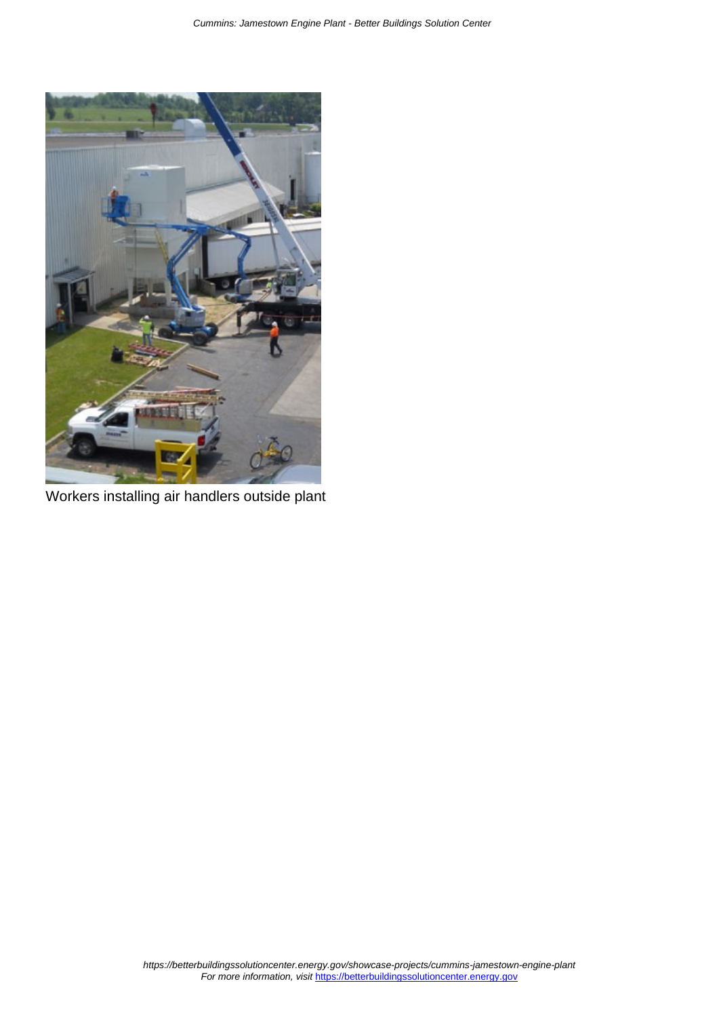

Workers installing air handlers outside plant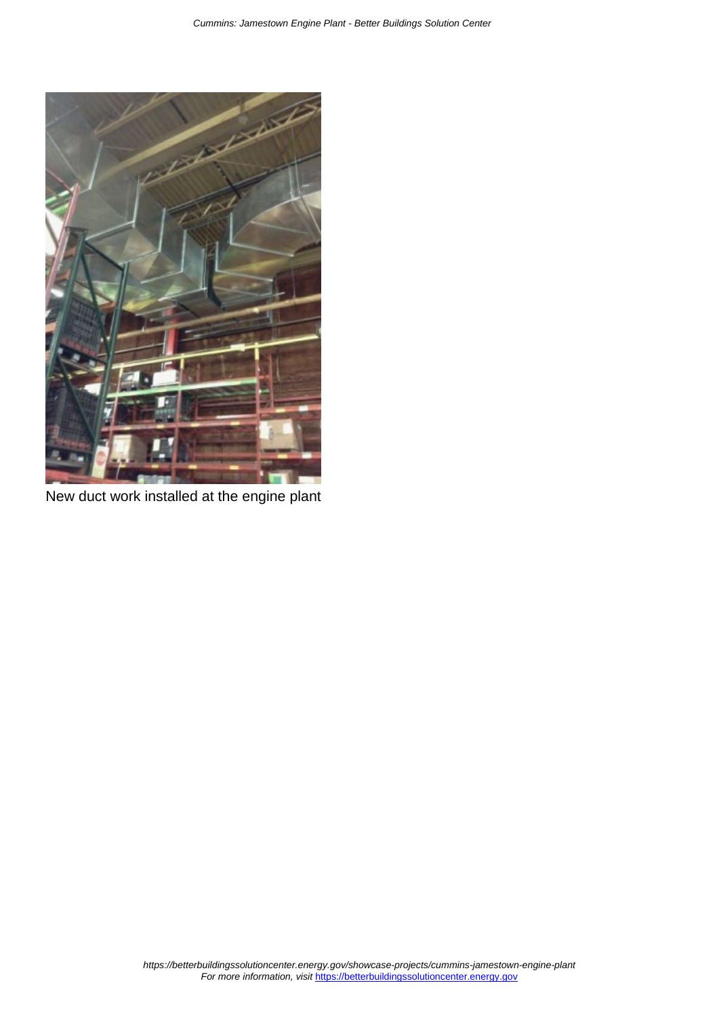

New duct work installed at the engine plant